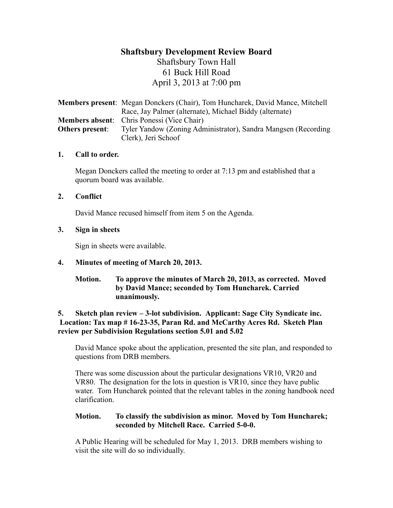# **Shaftsbury Development Review Board** Shaftsbury Town Hall 61 Buck Hill Road April 3, 2013 at 7:00 pm

**Members present**: Megan Donckers (Chair), Tom Huncharek, David Mance, Mitchell Race, Jay Palmer (alternate), Michael Biddy (alternate) **Members absent**: Chris Ponessi (Vice Chair) **Others present**: Tyler Yandow (Zoning Administrator), Sandra Mangsen (Recording) Clerk), Jeri Schoof

### **1. Call to order.**

Megan Donckers called the meeting to order at 7:13 pm and established that a quorum board was available.

### **2. Conflict**

David Mance recused himself from item 5 on the Agenda.

# **3. Sign in sheets**

Sign in sheets were available.

# **4. Minutes of meeting of March 20, 2013.**

### **Motion. To approve the minutes of March 20, 2013, as corrected. Moved by David Mance; seconded by Tom Huncharek. Carried unanimously.**

### **5. Sketch plan review – 3-lot subdivision. Applicant: Sage City Syndicate inc. Location: Tax map # 16-23-35, Paran Rd. and McCarthy Acres Rd. Sketch Plan review per Subdivision Regulations section 5.01 and 5.02**

David Mance spoke about the application, presented the site plan, and responded to questions from DRB members.

There was some discussion about the particular designations VR10, VR20 and VR80. The designation for the lots in question is VR10, since they have public water. Tom Huncharek pointed that the relevant tables in the zoning handbook need clarification.

# **Motion. To classify the subdivision as minor. Moved by Tom Huncharek; seconded by Mitchell Race. Carried 5-0-0.**

A Public Hearing will be scheduled for May 1, 2013. DRB members wishing to visit the site will do so individually.